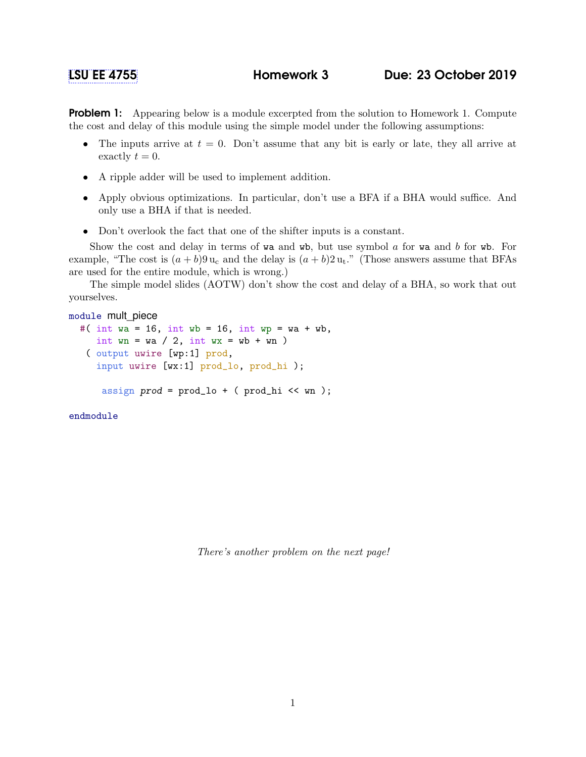## [LSU EE 4755](https://www.ece.lsu.edu/koppel/v/) Homework 3 Due: 23 October 2019

**Problem 1:** Appearing below is a module excerpted from the solution to Homework 1. Compute the cost and delay of this module using the simple model under the following assumptions:

- The inputs arrive at  $t = 0$ . Don't assume that any bit is early or late, they all arrive at exactly  $t = 0$ .
- A ripple adder will be used to implement addition.
- Apply obvious optimizations. In particular, don't use a BFA if a BHA would suffice. And only use a BHA if that is needed.
- Don't overlook the fact that one of the shifter inputs is a constant.

Show the cost and delay in terms of wa and wb, but use symbol  $\alpha$  for wa and  $\beta$  for wb. For example, "The cost is  $(a + b)9 u_c$  and the delay is  $(a + b)2 u_t$ ." (Those answers assume that BFAs are used for the entire module, which is wrong.)

The simple model slides (AOTW) don't show the cost and delay of a BHA, so work that out yourselves.

```
module mult_piece
  #( int wa = 16, int wb = 16, int wp = wa + wb,
     int wn = wa / 2, int wx = wb + wn)
   ( output uwire [wp:1] prod,
     input uwire [wx:1] prod_lo, prod_hi );
```
assign  $prod = prod_1o + (prod_1 << w_n);$ 

endmodule

There's another problem on the next page!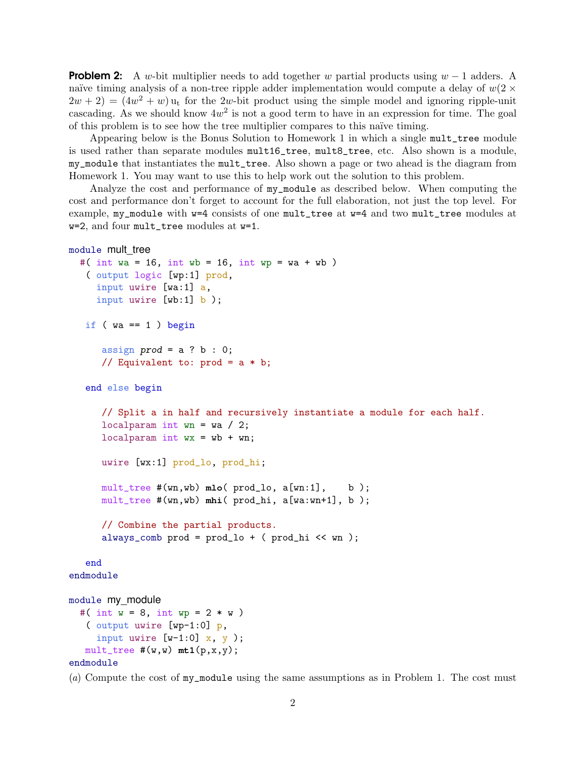**Problem 2:** A w-bit multiplier needs to add together w partial products using  $w - 1$  adders. A naïve timing analysis of a non-tree ripple adder implementation would compute a delay of  $w(2 \times$  $(2w + 2) = (4w<sup>2</sup> + w)$  u<sub>t</sub> for the 2w-bit product using the simple model and ignoring ripple-unit cascading. As we should know  $4w^2$  is not a good term to have in an expression for time. The goal of this problem is to see how the tree multiplier compares to this naïve timing.

Appearing below is the Bonus Solution to Homework 1 in which a single mult\_tree module is used rather than separate modules mult16\_tree, mult8\_tree, etc. Also shown is a module, my\_module that instantiates the mult\_tree. Also shown a page or two ahead is the diagram from Homework 1. You may want to use this to help work out the solution to this problem.

Analyze the cost and performance of my\_module as described below. When computing the cost and performance don't forget to account for the full elaboration, not just the top level. For example, my\_module with w=4 consists of one mult\_tree at w=4 and two mult\_tree modules at w=2, and four mult\_tree modules at w=1.

```
module mult tree
  #( int wa = 16, int wb = 16, int wp = wa + wb)
   ( output logic [wp:1] prod,
     input uwire [wa:1] a,
     input uwire [wb:1] b );
  if (wa == 1) begin
      assign prod = a ? b : 0;// Equivalent to: prod = a * b;
   end else begin
      // Split a in half and recursively instantiate a module for each half.
      localparam int wn = wa / 2;
      localparam int wx = wb + wn;uwire [wx:1] prod_lo, prod_hi;
      mult_tree #(wn,wb) mlo( prod_lo, a[wn:1], b );
      mult_tree #(wn,wb) mhi( prod_hi, a[wa:wn+1], b );
      // Combine the partial products.
      always_comb prod = prod_lo + ( prod_hi \ll wn);
   end
endmodule
module my_module
  #( int w = 8, int wp = 2 * w )
   ( output uwire [wp-1:0] p,
     input uwire [w-1:0] x, y );
  mult\_tree #(w,w) mt1(p,x,y);
```

```
endmodule
```
(a) Compute the cost of my\_module using the same assumptions as in Problem 1. The cost must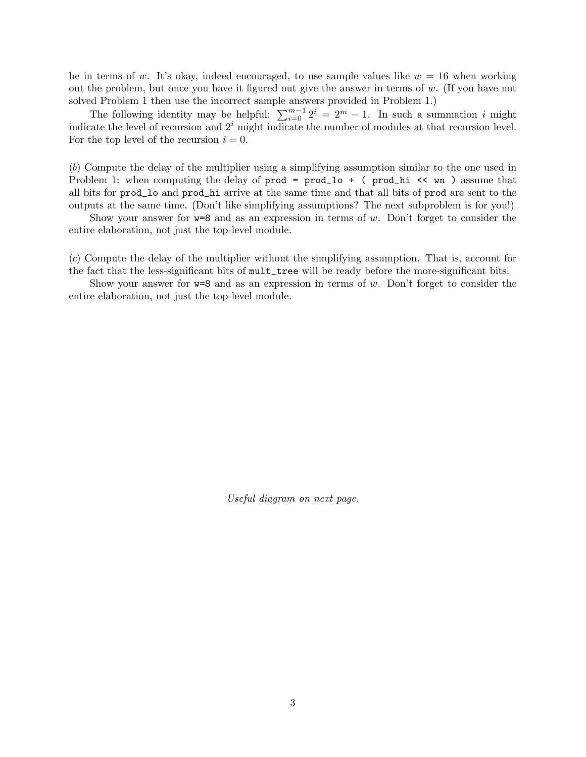be in terms of w. It's okay, indeed encouraged, to use sample values like  $w = 16$  when working out the problem, but once you have it figured out give the answer in terms of  $w$ . (If you have not solved Problem 1 then use the incorrect sample answers provided in Problem 1.)

The following identity may be helpful:  $\sum_{i=0}^{m-1} 2^i = 2^m - 1$ . In such a summation i might indicate the level of recursion and  $2<sup>i</sup>$  might indicate the number of modules at that recursion level. For the top level of the recursion  $i = 0$ .

(b) Compute the delay of the multiplier using a simplifying assumption similar to the one used in Problem 1: when computing the delay of  $\text{prod} = \text{prod} \cdot + \cdot$  ( $\text{prod} \cdot \cdot \cdot$   $\text{mod} \cdot$ ) assume that all bits for prod\_lo and prod\_hi arrive at the same time and that all bits of prod are sent to the outputs at the same time. (Don't like simplifying assumptions? The next subproblem is for you!)

Show your answer for  $w=8$  and as an expression in terms of w. Don't forget to consider the entire elaboration, not just the top-level module.

(c) Compute the delay of the multiplier without the simplifying assumption. That is, account for the fact that the less-significant bits of mult\_tree will be ready before the more-significant bits.

Show your answer for  $w=8$  and as an expression in terms of w. Don't forget to consider the entire elaboration, not just the top-level module.

Useful diagram on next page.